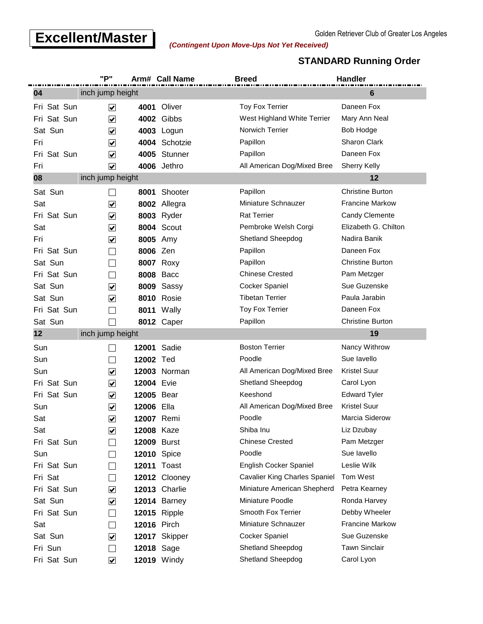# **Excellent/Master** (Contingent Upon Move-Ups Not Vet Received)

#### **STANDARD Running Order**

|             | "P"                     |                    | Arm# Call Name      | <b>Breed</b>                  | <b>Handler</b>          |
|-------------|-------------------------|--------------------|---------------------|-------------------------------|-------------------------|
| 04          | inch jump height        |                    |                     |                               | 6                       |
| Fri Sat Sun | $\blacktriangledown$    | 4001               | Oliver              | <b>Toy Fox Terrier</b>        | Daneen Fox              |
| Fri Sat Sun | $\blacktriangledown$    | 4002               | Gibbs               | West Highland White Terrier   | Mary Ann Neal           |
| Sat Sun     | $\blacktriangledown$    |                    | 4003 Logun          | Norwich Terrier               | <b>Bob Hodge</b>        |
| Fri         | $\blacktriangledown$    | 4004               | Schotzie            | Papillon                      | <b>Sharon Clark</b>     |
| Fri Sat Sun | $\blacktriangledown$    |                    | 4005 Stunner        | Papillon                      | Daneen Fox              |
| Fri         | $\blacktriangledown$    |                    | 4006 Jethro         | All American Dog/Mixed Bree   | <b>Sherry Kelly</b>     |
| 08          | inch jump height        |                    |                     |                               | 12                      |
| Sat Sun     |                         | 8001               | Shooter             | Papillon                      | <b>Christine Burton</b> |
| Sat         | $\overline{\mathbf{v}}$ | 8002               | Allegra             | Miniature Schnauzer           | <b>Francine Markow</b>  |
| Fri Sat Sun | $\overline{\mathbf{v}}$ |                    | <b>8003</b> Ryder   | <b>Rat Terrier</b>            | <b>Candy Clemente</b>   |
| Sat         | $\blacktriangledown$    |                    | <b>8004 Scout</b>   | Pembroke Welsh Corgi          | Elizabeth G. Chilton    |
| Fri         | $\blacktriangledown$    | 8005 Amy           |                     | Shetland Sheepdog             | Nadira Banik            |
| Fri Sat Sun | $\blacksquare$          | 8006 Zen           |                     | Papillon                      | Daneen Fox              |
| Sat Sun     | $\sim$                  |                    | <b>8007 Roxy</b>    | Papillon                      | <b>Christine Burton</b> |
| Fri Sat Sun | $\mathcal{L}$           |                    | <b>8008 Bacc</b>    | <b>Chinese Crested</b>        | Pam Metzger             |
| Sat Sun     | $\blacktriangledown$    | 8009               | Sassy               | Cocker Spaniel                | Sue Guzenske            |
| Sat Sun     | $\blacktriangledown$    |                    | <b>8010 Rosie</b>   | <b>Tibetan Terrier</b>        | Paula Jarabin           |
| Fri Sat Sun | $\sim$                  | 8011               | Wally               | <b>Toy Fox Terrier</b>        | Daneen Fox              |
| Sat Sun     |                         |                    | 8012 Caper          | Papillon                      | <b>Christine Burton</b> |
| 12          | inch jump height        |                    |                     |                               | 19                      |
| Sun         |                         | 12001              | Sadie               | <b>Boston Terrier</b>         | Nancy Withrow           |
| Sun         | $\sim$                  | 12002 Ted          |                     | Poodle                        | Sue lavello             |
| Sun         | $\blacktriangledown$    |                    | <b>12003 Norman</b> | All American Dog/Mixed Bree   | <b>Kristel Suur</b>     |
| Fri Sat Sun | $\overline{\mathbf{v}}$ | 12004 Evie         |                     | Shetland Sheepdog             | Carol Lyon              |
| Fri Sat Sun | $\blacktriangledown$    | 12005 Bear         |                     | Keeshond                      | <b>Edward Tyler</b>     |
| Sun         | $\blacktriangledown$    | 12006              | Ella                | All American Dog/Mixed Bree   | <b>Kristel Suur</b>     |
| Sat         | $\blacktriangledown$    | 12007 Remi         |                     | Poodle                        | Marcia Siderow          |
| Sat         | $\blacktriangledown$    | 12008 Kaze         |                     | Shiba Inu                     | Liz Dzubay              |
| Fri Sat Sun |                         | <b>12009 Burst</b> |                     | <b>Chinese Crested</b>        | Pam Metzger             |
| Sun         | $\sim$                  | <b>12010</b> Spice |                     | Poodle                        | Sue lavello             |
| Fri Sat Sun | $\sim$                  | 12011              | Toast               | English Cocker Spaniel        | Leslie Wilk             |
| Fri Sat     | $\sim$                  |                    | 12012 Clooney       | Cavalier King Charles Spaniel | Tom West                |
| Fri Sat Sun | $\blacktriangledown$    |                    | 12013 Charlie       | Miniature American Shepherd   | Petra Kearney           |
| Sat Sun     | $\blacktriangledown$    |                    | 12014 Barney        | Miniature Poodle              | Ronda Harvey            |
| Fri Sat Sun | $\sim$                  |                    | <b>12015</b> Ripple | Smooth Fox Terrier            | Debby Wheeler           |
| Sat         | $\sim$                  | <b>12016 Pirch</b> |                     | Miniature Schnauzer           | <b>Francine Markow</b>  |
| Sat Sun     | $\blacktriangledown$    |                    | 12017 Skipper       | Cocker Spaniel                | Sue Guzenske            |
| Fri Sun     |                         | <b>12018 Sage</b>  |                     | Shetland Sheepdog             | <b>Tawn Sinclair</b>    |
| Fri Sat Sun | $\blacktriangledown$    |                    | <b>12019</b> Windy  | Shetland Sheepdog             | Carol Lyon              |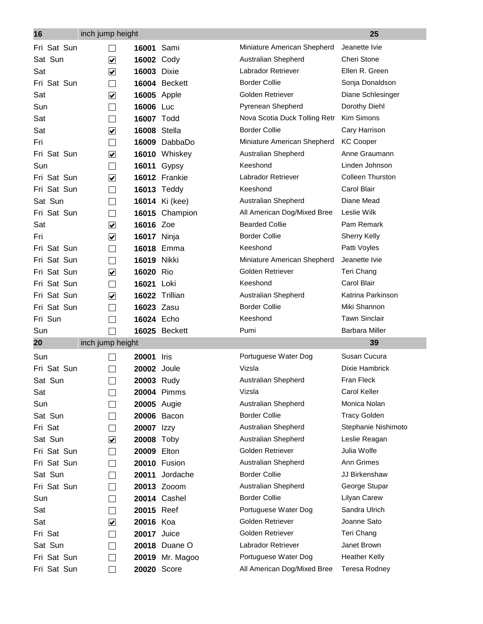| 16          | inch jump height     |                     |                       |                               | 25                      |
|-------------|----------------------|---------------------|-----------------------|-------------------------------|-------------------------|
| Fri Sat Sun |                      | 16001               | Sami                  | Miniature American Shepherd   | Jeanette Ivie           |
| Sat Sun     | $\blacktriangledown$ | 16002 Cody          |                       | Australian Shepherd           | Cheri Stone             |
| Sat         | $\blacktriangledown$ | <b>16003 Dixie</b>  |                       | Labrador Retriever            | Ellen R. Green          |
| Fri Sat Sun |                      |                     | 16004 Beckett         | <b>Border Collie</b>          | Sonja Donaldson         |
| Sat         | $\blacktriangledown$ | <b>16005</b> Apple  |                       | Golden Retriever              | Diane Schlesinger       |
| Sun         |                      | 16006 Luc           |                       | Pyrenean Shepherd             | Dorothy Diehl           |
| Sat         |                      | 16007 Todd          |                       | Nova Scotia Duck Tolling Retr | Kim Simons              |
| Sat         | $\blacktriangledown$ | <b>16008 Stella</b> |                       | <b>Border Collie</b>          | Cary Harrison           |
| Fri         |                      |                     | 16009 DabbaDo         | Miniature American Shepherd   | <b>KC Cooper</b>        |
| Fri Sat Sun | $\blacktriangledown$ |                     | 16010 Whiskey         | Australian Shepherd           | Anne Graumann           |
| Sun         | $\sim$               | 16011               | Gypsy                 | Keeshond                      | Linden Johnson          |
| Fri Sat Sun | $\blacktriangledown$ |                     | 16012 Frankie         | Labrador Retriever            | <b>Colleen Thurston</b> |
| Fri Sat Sun | $\blacksquare$       |                     | <b>16013 Teddy</b>    | Keeshond                      | Carol Blair             |
| Sat Sun     |                      |                     | <b>16014</b> Ki (kee) | Australian Shepherd           | Diane Mead              |
| Fri Sat Sun |                      |                     | 16015 Champion        | All American Dog/Mixed Bree   | Leslie Wilk             |
| Sat         | $\blacktriangledown$ | 16016 Zoe           |                       | <b>Bearded Collie</b>         | Pam Remark              |
| Fri         | $\blacktriangledown$ | <b>16017</b> Ninja  |                       | <b>Border Collie</b>          | <b>Sherry Kelly</b>     |
| Fri Sat Sun |                      |                     | 16018 Emma            | Keeshond                      | Patti Voyles            |
| Fri Sat Sun |                      | 16019 Nikki         |                       | Miniature American Shepherd   | Jeanette Ivie           |
| Fri Sat Sun | $\blacktriangledown$ | 16020 Rio           |                       | Golden Retriever              | Teri Chang              |
| Fri Sat Sun |                      | 16021 Loki          |                       | Keeshond                      | Carol Blair             |
| Fri Sat Sun | $\blacktriangledown$ |                     | 16022 Trillian        | Australian Shepherd           | Katrina Parkinson       |
| Fri Sat Sun |                      | 16023 Zasu          |                       | <b>Border Collie</b>          | Miki Shannon            |
| Fri Sun     |                      | 16024 Echo          |                       | Keeshond                      | <b>Tawn Sinclair</b>    |
| Sun         |                      |                     | 16025 Beckett         | Pumi                          | <b>Barbara Miller</b>   |
| 20          | inch jump height     |                     |                       |                               | 39                      |
| Sun         |                      | <b>20001</b> Iris   |                       | Portuguese Water Dog          | Susan Cucura            |
| Fri Sat Sun |                      | <b>20002</b> Joule  |                       | Vizsla                        | Dixie Hambrick          |
| Sat Sun     | $\Box$               | 20003 Rudy          |                       | Australian Shepherd           | Fran Fleck              |
| Sat         |                      |                     | 20004 Pimms           | Vizsla                        | <b>Carol Keller</b>     |
| Sun         |                      | <b>20005</b> Augie  |                       | Australian Shepherd           | Monica Nolan            |
| Sat Sun     |                      |                     | 20006 Bacon           | <b>Border Collie</b>          | <b>Tracy Golden</b>     |
| Fri Sat     |                      | 20007 Izzy          |                       | Australian Shepherd           | Stephanie Nishimoto     |
| Sat Sun     | $\blacktriangledown$ | 20008 Toby          |                       | Australian Shepherd           | Leslie Reagan           |
| Fri Sat Sun |                      | 20009 Elton         |                       | Golden Retriever              | Julia Wolfe             |
| Fri Sat Sun |                      |                     | 20010 Fusion          | Australian Shepherd           | Ann Grimes              |
| Sat Sun     |                      | 20011               | Jordache              | <b>Border Collie</b>          | JJ Birkenshaw           |
| Fri Sat Sun |                      |                     | 20013 Zooom           | Australian Shepherd           | George Stupar           |
| Sun         |                      |                     | 20014 Cashel          | <b>Border Collie</b>          | Lilyan Carew            |
| Sat         |                      | 20015 Reef          |                       | Portuguese Water Dog          | Sandra Ulrich           |
| Sat         | $\blacktriangledown$ | 20016 Koa           |                       | Golden Retriever              | Joanne Sato             |
| Fri Sat     |                      | <b>20017</b> Juice  |                       | Golden Retriever              | Teri Chang              |
| Sat Sun     |                      |                     | 20018 Duane O         | Labrador Retriever            | Janet Brown             |
| Fri Sat Sun |                      |                     | 20019 Mr. Magoo       | Portuguese Water Dog          | <b>Heather Kelly</b>    |
| Fri Sat Sun |                      | 20020 Score         |                       | All American Dog/Mixed Bree   | Teresa Rodney           |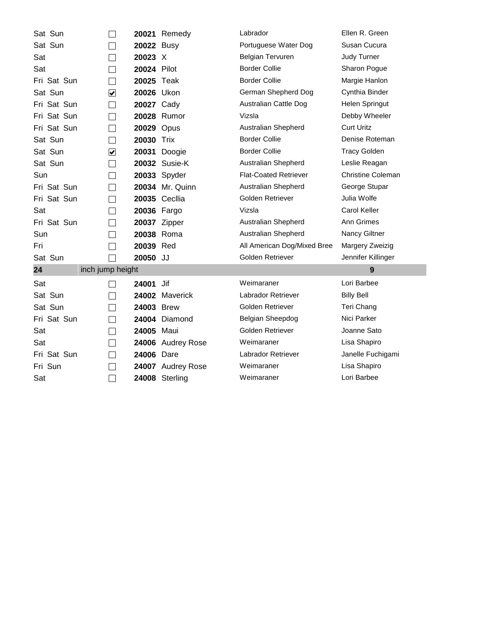| Sat Sun     |                             |             | <b>20021 Remedy</b>  | Labrador                     | Ellen R. Green           |
|-------------|-----------------------------|-------------|----------------------|------------------------------|--------------------------|
| Sat Sun     |                             | 20022 Busy  |                      | Portuguese Water Dog         | Susan Cucura             |
| Sat         |                             | 20023 X     |                      | <b>Belgian Tervuren</b>      | <b>Judy Turner</b>       |
| Sat         |                             | 20024 Pilot |                      | <b>Border Collie</b>         | Sharon Pogue             |
| Fri Sat Sun | $\mathcal{L}$               | 20025 Teak  |                      | <b>Border Collie</b>         | Margie Hanlon            |
| Sat Sun     | $\blacktriangledown$        | 20026 Ukon  |                      | German Shepherd Dog          | Cynthia Binder           |
| Fri Sat Sun | $\mathcal{L}$               | 20027 Cady  |                      | Australian Cattle Dog        | Helen Springut           |
| Fri Sat Sun | $\mathcal{L}$               |             | 20028 Rumor          | Vizsla                       | Debby Wheeler            |
| Fri Sat Sun | $\mathcal{L}$               | 20029 Opus  |                      | Australian Shepherd          | <b>Curt Uritz</b>        |
| Sat Sun     |                             | 20030 Trix  |                      | <b>Border Collie</b>         | Denise Roteman           |
| Sat Sun     | $\blacktriangledown$        |             | 20031 Doogie         | <b>Border Collie</b>         | <b>Tracy Golden</b>      |
| Sat Sun     | $\mathcal{L}_{\mathcal{A}}$ |             | 20032 Susie-K        | Australian Shepherd          | Leslie Reagan            |
| Sun         |                             |             | 20033 Spyder         | <b>Flat-Coated Retriever</b> | <b>Christine Coleman</b> |
| Fri Sat Sun |                             |             | 20034 Mr. Quinn      | Australian Shepherd          | George Stupar            |
| Fri Sat Sun | $\sim$                      |             | <b>20035 Cecllia</b> | Golden Retriever             | Julia Wolfe              |
| Sat         |                             | 20036 Fargo |                      | Vizsla                       | <b>Carol Keller</b>      |
| Fri Sat Sun |                             |             | 20037 Zipper         | Australian Shepherd          | Ann Grimes               |
| Sun         |                             | 20038 Roma  |                      | Australian Shepherd          | Nancy Giltner            |
| Fri         |                             | 20039 Red   |                      | All American Dog/Mixed Bree  | Margery Zweizig          |
| Sat Sun     |                             | 20050 JJ    |                      | Golden Retriever             | Jennifer Killinger       |
| 24          | inch jump height            |             |                      |                              | 9                        |
| Sat         |                             | 24001       | Jif                  | Weimaraner                   | Lori Barbee              |
| Sat Sun     |                             |             | 24002 Maverick       | Labrador Retriever           | <b>Billy Bell</b>        |
| Sat Sun     | $\mathcal{L}$               | 24003 Brew  |                      | Golden Retriever             | Teri Chang               |
| Fri Sat Sun | $\mathcal{L}$               |             | 24004 Diamond        | Belgian Sheepdog             | Nici Parker              |
| Sat         | $\sim$                      | 24005 Maui  |                      | Golden Retriever             | Joanne Sato              |
| Sat         | $\sim$                      |             | 24006 Audrey Rose    | Weimaraner                   | Lisa Shapiro             |
| Fri Sat Sun | $\mathcal{L}$               | 24006 Dare  |                      | Labrador Retriever           | Janelle Fuchigami        |
| Fri Sun     |                             |             | 24007 Audrey Rose    | Weimaraner                   | Lisa Shapiro             |
| Sat         |                             |             | 24008 Sterling       | Weimaraner                   | Lori Barbee              |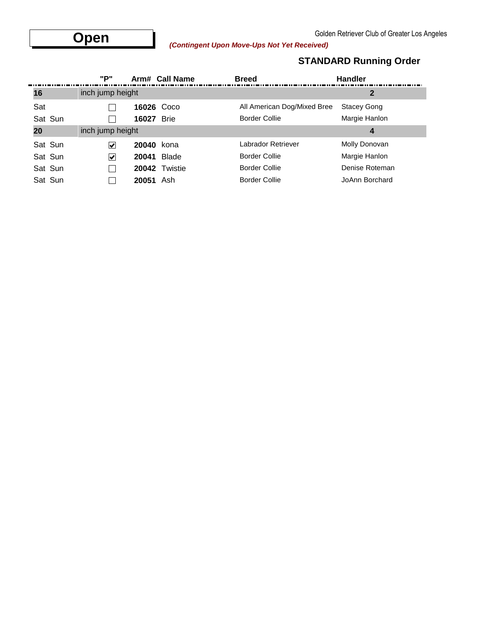### **STANDARD Running Order**

|         | "P"              |       | Arm# Call Name | <b>Breed</b>                | <b>Handler</b>     |
|---------|------------------|-------|----------------|-----------------------------|--------------------|
| 16      | inch jump height |       |                |                             | 2                  |
| Sat     |                  | 16026 | Coco           | All American Dog/Mixed Bree | <b>Stacey Gong</b> |
| Sat Sun |                  | 16027 | <b>Brie</b>    | <b>Border Collie</b>        | Margie Hanlon      |
| 20      | inch jump height |       |                |                             | 4                  |
| Sat Sun | V                | 20040 | kona           | Labrador Retriever          | Molly Donovan      |
| Sat Sun | V                | 20041 | Blade          | <b>Border Collie</b>        | Margie Hanlon      |
| Sat Sun |                  |       | 20042 Twistie  | <b>Border Collie</b>        | Denise Roteman     |
| Sat Sun |                  | 20051 | Ash            | <b>Border Collie</b>        | JoAnn Borchard     |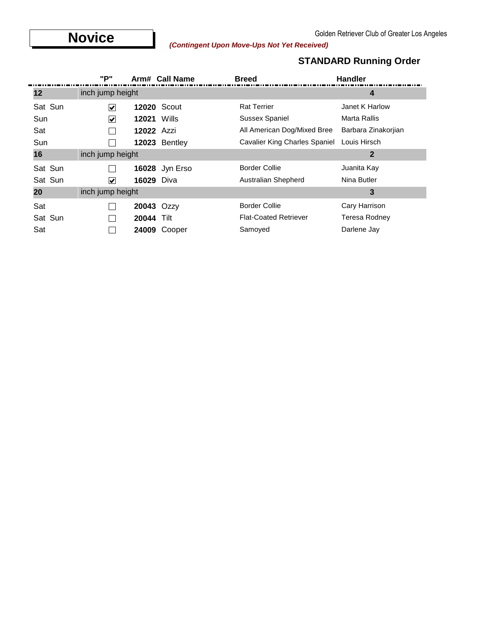# **Novice** (*Contingent Upon Move-Ups Not Yet Received*) Contingent (*Contingent Upon Move-Ups Not Yet Received*)

### **STANDARD Running Order**

|         | "P"                  |                   | Arm# Call Name     | <b>Breed</b>                         | <b>Handler</b>      |
|---------|----------------------|-------------------|--------------------|--------------------------------------|---------------------|
| 12      | inch jump height     |                   |                    |                                      | 4                   |
| Sat Sun | $\blacktriangledown$ |                   | <b>12020 Scout</b> | <b>Rat Terrier</b>                   | Janet K Harlow      |
| Sun     | ⊻                    | 12021             | Wills              | Sussex Spaniel                       | Marta Rallis        |
| Sat     |                      | <b>12022 Azzi</b> |                    | All American Dog/Mixed Bree          | Barbara Zinakorjian |
| Sun     |                      | 12023             | Bentley            | <b>Cavalier King Charles Spaniel</b> | Louis Hirsch        |
| 16      | inch jump height     |                   |                    |                                      | 2                   |
| Sat Sun |                      | 16028             | Jyn Erso           | <b>Border Collie</b>                 | Juanita Kay         |
| Sat Sun | $\blacktriangledown$ | <b>16029 Diva</b> |                    | Australian Shepherd                  | Nina Butler         |
| 20      | inch jump height     |                   |                    |                                      | 3                   |
| Sat     |                      | 20043 Ozzy        |                    | <b>Border Collie</b>                 | Cary Harrison       |
| Sat Sun |                      | 20044             | Tilt               | <b>Flat-Coated Retriever</b>         | Teresa Rodney       |
| Sat     |                      | 24009             | Cooper             | Samoved                              | Darlene Jay         |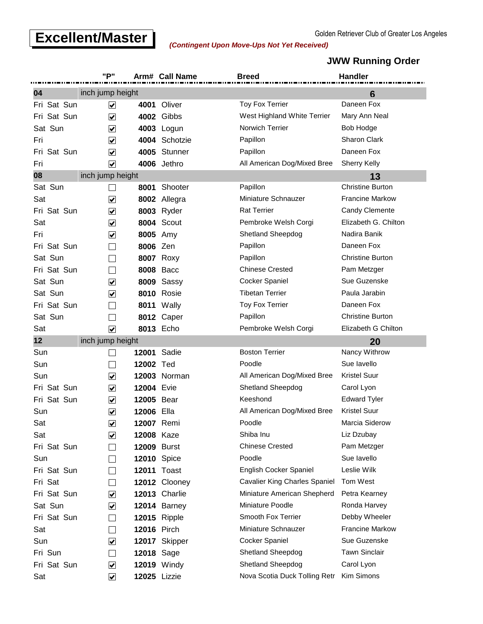# **Excellent/Master** Contingent Upon Move-Ups Not Vet Received)

*(Contingent Upon Move-Ups Not Yet Received)*

#### **JWW Running Order**

|                | "P"                             |                    | Arm# Call Name      | <b>Breed</b>                             | <b>Handler</b>          |
|----------------|---------------------------------|--------------------|---------------------|------------------------------------------|-------------------------|
| 04             | inch jump height                |                    |                     |                                          | 6                       |
| Fri Sat Sun    | ⊻                               | 4001               | Oliver              | <b>Toy Fox Terrier</b>                   | Daneen Fox              |
| Fri Sat Sun    | $\blacktriangledown$            |                    | <b>4002 Gibbs</b>   | West Highland White Terrier              | Mary Ann Neal           |
| Sat Sun        | $\blacktriangledown$            |                    | 4003 Logun          | Norwich Terrier                          | <b>Bob Hodge</b>        |
| Fri            | $\overline{\blacktriangledown}$ | 4004               | Schotzie            | Papillon                                 | <b>Sharon Clark</b>     |
| Sat Sun<br>Fri | $\blacktriangledown$            | 4005               | Stunner             | Papillon                                 | Daneen Fox              |
| Fri            | $\overline{\mathbf{v}}$         |                    | 4006 Jethro         | All American Dog/Mixed Bree              | <b>Sherry Kelly</b>     |
| 08             | inch jump height                |                    |                     |                                          | 13                      |
| Sat Sun        |                                 | 8001               | Shooter             | Papillon                                 | <b>Christine Burton</b> |
| Sat            | $\blacktriangledown$            |                    | 8002 Allegra        | Miniature Schnauzer                      | Francine Markow         |
| Fri Sat Sun    | $\blacktriangledown$            |                    | <b>8003</b> Ryder   | <b>Rat Terrier</b>                       | <b>Candy Clemente</b>   |
| Sat            | $\blacktriangledown$            |                    | <b>8004 Scout</b>   | Pembroke Welsh Corgi                     | Elizabeth G. Chilton    |
| Fri            | $\blacktriangledown$            |                    | 8005 Amy            | Shetland Sheepdog                        | Nadira Banik            |
| Fri Sat Sun    |                                 | 8006 Zen           |                     | Papillon                                 | Daneen Fox              |
| Sat Sun        |                                 |                    | <b>8007 Roxy</b>    | Papillon                                 | <b>Christine Burton</b> |
| Fri Sat Sun    |                                 |                    | <b>8008 Bacc</b>    | <b>Chinese Crested</b>                   | Pam Metzger             |
| Sat Sun        | $\blacktriangledown$            | 8009               | Sassy               | Cocker Spaniel                           | Sue Guzenske            |
| Sat Sun        | $\blacktriangledown$            |                    | <b>8010 Rosie</b>   | <b>Tibetan Terrier</b>                   | Paula Jarabin           |
| Fri Sat Sun    |                                 |                    | <b>8011 Wally</b>   | <b>Toy Fox Terrier</b>                   | Daneen Fox              |
| Sat Sun        |                                 |                    | 8012 Caper          | Papillon                                 | <b>Christine Burton</b> |
| Sat            | $\blacktriangledown$            |                    | 8013 Echo           | Pembroke Welsh Corgi                     | Elizabeth G Chilton     |
| 12             | inch jump height                |                    |                     |                                          | 20                      |
| Sun            |                                 | 12001              | Sadie               | <b>Boston Terrier</b>                    | Nancy Withrow           |
| Sun            |                                 | 12002 Ted          |                     | Poodle                                   | Sue lavello             |
| Sun            | $\blacktriangledown$            |                    | 12003 Norman        | All American Dog/Mixed Bree              | <b>Kristel Suur</b>     |
| Fri Sat Sun    | $\blacktriangledown$            | <b>12004 Evie</b>  |                     | Shetland Sheepdog                        | Carol Lyon              |
| Fri Sat Sun    | $\blacktriangledown$            | 12005 Bear         |                     | Keeshond                                 | <b>Edward Tyler</b>     |
| Sun            | $\blacktriangledown$            | 12006 Ella         |                     | All American Dog/Mixed Bree              | <b>Kristel Suur</b>     |
| Sat            | $\blacktriangledown$            | 12007 Remi         |                     | Poodle                                   | Marcia Siderow          |
| Sat            | $\blacktriangledown$            | 12008 Kaze         |                     | Shiba Inu                                | Liz Dzubay              |
| Fri Sat Sun    | $\mathcal{L}$                   | <b>12009 Burst</b> |                     | <b>Chinese Crested</b>                   | Pam Metzger             |
| Sun            |                                 | <b>12010</b> Spice |                     | Poodle                                   | Sue lavello             |
| Fri Sat Sun    | $\mathcal{L}$                   |                    | <b>12011 Toast</b>  | English Cocker Spaniel                   | Leslie Wilk             |
| Fri Sat        |                                 |                    | 12012 Clooney       | <b>Cavalier King Charles Spaniel</b>     | Tom West                |
| Fri Sat Sun    | $\blacktriangledown$            |                    | 12013 Charlie       | Miniature American Shepherd              | Petra Kearney           |
| Sat Sun        | $\blacktriangledown$            |                    | 12014 Barney        | Miniature Poodle                         | Ronda Harvey            |
| Fri Sat Sun    | $\mathcal{L}$                   |                    | <b>12015</b> Ripple | Smooth Fox Terrier                       | Debby Wheeler           |
| Sat            | $\sim$                          | <b>12016 Pirch</b> |                     | Miniature Schnauzer                      | <b>Francine Markow</b>  |
| Sun            | $\overline{\blacktriangledown}$ |                    | 12017 Skipper       | Cocker Spaniel                           | Sue Guzenske            |
| Fri Sun        |                                 | <b>12018</b> Sage  |                     | Shetland Sheepdog                        | <b>Tawn Sinclair</b>    |
| Fri Sat Sun    | $\overline{\mathbf{v}}$         |                    | <b>12019</b> Windy  | Shetland Sheepdog                        | Carol Lyon              |
| Sat            | $\blacktriangledown$            |                    | 12025 Lizzie        | Nova Scotia Duck Tolling Retr Kim Simons |                         |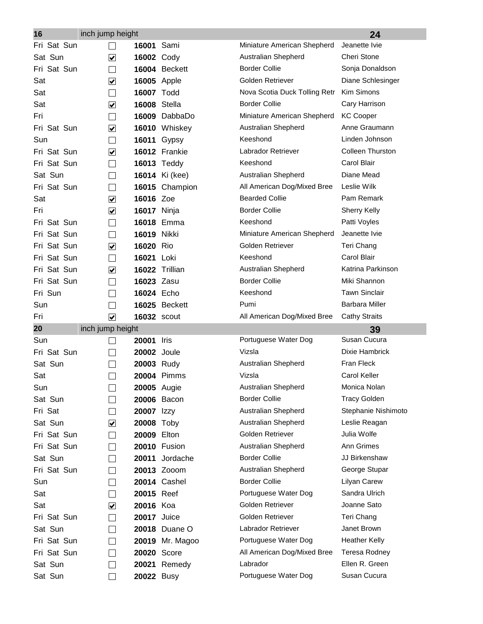| 16                 | inch jump height     |                                  |                       |                                | 24                      |
|--------------------|----------------------|----------------------------------|-----------------------|--------------------------------|-------------------------|
| Fri Sat Sun        |                      | 16001                            | Sami                  | Miniature American Shepherd    | Jeanette Ivie           |
| Sat Sun            | $\blacktriangledown$ | 16002 Cody                       |                       | Australian Shepherd            | Cheri Stone             |
| Fri Sat Sun        | $\blacksquare$       |                                  | 16004 Beckett         | <b>Border Collie</b>           | Sonja Donaldson         |
| Sat                | $\blacktriangledown$ | <b>16005</b> Apple               |                       | Golden Retriever               | Diane Schlesinger       |
| Sat                |                      | 16007 Todd                       |                       | Nova Scotia Duck Tolling Retr  | Kim Simons              |
| Sat                | $\blacktriangledown$ | <b>16008 Stella</b>              |                       | <b>Border Collie</b>           | Cary Harrison           |
| Fri                | $\sim$               |                                  | 16009 DabbaDo         | Miniature American Shepherd    | <b>KC Cooper</b>        |
| Fri Sat Sun        | $\blacktriangledown$ |                                  | 16010 Whiskey         | Australian Shepherd            | Anne Graumann           |
| Sun                | $\blacksquare$       | 16011                            | Gypsy                 | Keeshond                       | Linden Johnson          |
| Fri Sat Sun        | $\blacktriangledown$ |                                  | 16012 Frankie         | Labrador Retriever             | <b>Colleen Thurston</b> |
| Fri Sat Sun        | $\blacksquare$       |                                  | <b>16013 Teddy</b>    | Keeshond                       | Carol Blair             |
| Sat Sun            |                      |                                  | <b>16014</b> Ki (kee) | Australian Shepherd            | Diane Mead              |
| Fri Sat Sun        |                      |                                  | 16015 Champion        | All American Dog/Mixed Bree    | Leslie Wilk             |
| Sat                | $\blacktriangledown$ | 16016 Zoe                        |                       | <b>Bearded Collie</b>          | Pam Remark              |
| Fri                | $\blacktriangledown$ | <b>16017</b> Ninja               |                       | <b>Border Collie</b>           | <b>Sherry Kelly</b>     |
| Fri Sat Sun        |                      |                                  | 16018 Emma            | Keeshond                       | Patti Voyles            |
| Sat Sun<br>Fri     |                      | 16019 Nikki                      |                       | Miniature American Shepherd    | Jeanette Ivie           |
| Fri Sat Sun        | $\blacktriangledown$ | 16020 Rio                        |                       | Golden Retriever               | Teri Chang              |
| Fri Sat Sun        |                      | 16021                            | Loki                  | Keeshond                       | Carol Blair             |
| Fri Sat Sun        | $\checkmark$         |                                  | 16022 Trillian        | Australian Shepherd            | Katrina Parkinson       |
| Fri Sat Sun        |                      | 16023 Zasu                       |                       | <b>Border Collie</b>           | Miki Shannon            |
| Fri Sun            |                      | 16024 Echo                       |                       | Keeshond                       | <b>Tawn Sinclair</b>    |
| Sun                |                      |                                  | 16025 Beckett         | Pumi                           | <b>Barbara Miller</b>   |
| Fri                | $\blacktriangledown$ | <b>16032 scout</b>               |                       | All American Dog/Mixed Bree    | <b>Cathy Straits</b>    |
| 20                 | inch jump height     |                                  |                       |                                | 39<br>Susan Cucura      |
| Sun<br>Fri Sat Sun |                      | 20001                            | Iris                  | Portuguese Water Dog<br>Vizsla | Dixie Hambrick          |
| Sat Sun            |                      | <b>20002</b> Joule<br>20003 Rudy |                       | Australian Shepherd            | Fran Fleck              |
| Sat                |                      |                                  | 20004 Pimms           | Vizsla                         | <b>Carol Keller</b>     |
| Sun                |                      | <b>20005</b> Augie               |                       | Australian Shepherd            | Monica Nolan            |
| Sat Sun            |                      |                                  | <b>20006 Bacon</b>    | <b>Border Collie</b>           | <b>Tracy Golden</b>     |
| Fri Sat            |                      | 20007                            | Izzy                  | Australian Shepherd            | Stephanie Nishimoto     |
| Sat Sun            | $\blacktriangledown$ | 20008 Toby                       |                       | Australian Shepherd            | Leslie Reagan           |
| Fri Sat Sun        |                      | 20009 Elton                      |                       | Golden Retriever               | Julia Wolfe             |
| Fri Sat Sun        |                      |                                  | <b>20010 Fusion</b>   | Australian Shepherd            | Ann Grimes              |
| Sat Sun            |                      | 20011                            | Jordache              | <b>Border Collie</b>           | JJ Birkenshaw           |
| Fri Sat Sun        |                      |                                  | 20013 Zooom           | Australian Shepherd            | George Stupar           |
| Sun                |                      |                                  | <b>20014 Cashel</b>   | <b>Border Collie</b>           | Lilyan Carew            |
| Sat                |                      | 20015 Reef                       |                       | Portuguese Water Dog           | Sandra Ulrich           |
| Sat                | $\blacktriangledown$ | 20016 Koa                        |                       | Golden Retriever               | Joanne Sato             |
| Fri Sat Sun        | $\mathcal{L}$        | <b>20017</b> Juice               |                       | Golden Retriever               | Teri Chang              |
| Sat Sun            |                      |                                  | 20018 Duane O         | Labrador Retriever             | Janet Brown             |
| Fri Sat Sun        |                      |                                  | 20019 Mr. Magoo       | Portuguese Water Dog           | <b>Heather Kelly</b>    |
| Fri Sat Sun        |                      | 20020 Score                      |                       | All American Dog/Mixed Bree    | Teresa Rodney           |
| Sat Sun            |                      | 20021                            | Remedy                | Labrador                       | Ellen R. Green          |
| Sat Sun            |                      | 20022 Busy                       |                       | Portuguese Water Dog           | Susan Cucura            |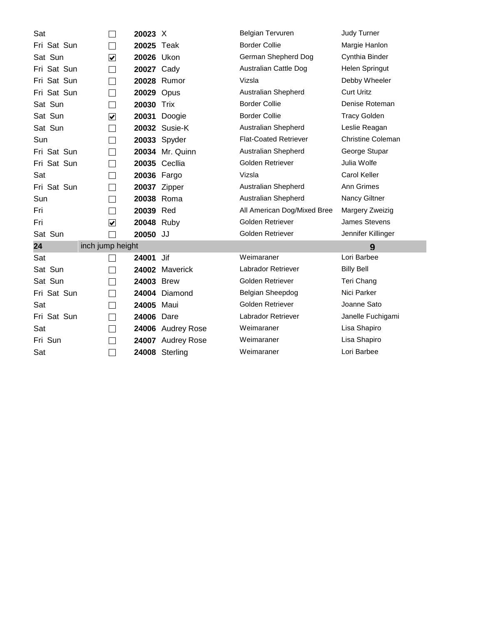| Sat                    |                             | 20023 X           |                        | <b>Belgian Tervuren</b>      | <b>Judy Turner</b>       |
|------------------------|-----------------------------|-------------------|------------------------|------------------------------|--------------------------|
| Fri Sat Sun            | $\sim$                      | 20025 Teak        |                        | <b>Border Collie</b>         | Margie Hanlon            |
| Sat Sun                | $\blacktriangledown$        | 20026 Ukon        |                        | German Shepherd Dog          | Cynthia Binder           |
| Fri Sat Sun            | $\mathbb{R}^2$              | 20027 Cady        |                        | Australian Cattle Dog        | Helen Springut           |
| Fri Sat Sun            |                             |                   | 20028 Rumor            | Vizsla                       | Debby Wheeler            |
| Fri Sat Sun            | $\sim$                      | <b>20029 Opus</b> |                        | Australian Shepherd          | <b>Curt Uritz</b>        |
| Sat Sun                | $\mathcal{L}_{\mathcal{A}}$ | 20030 Trix        |                        | <b>Border Collie</b>         | Denise Roteman           |
| Sat Sun                | $\blacktriangledown$        | 20031             | Doogie                 | <b>Border Collie</b>         | <b>Tracy Golden</b>      |
| Sat Sun                |                             |                   | 20032 Susie-K          | Australian Shepherd          | Leslie Reagan            |
| Sun                    | $\sim$                      |                   | 20033 Spyder           | <b>Flat-Coated Retriever</b> | <b>Christine Coleman</b> |
| Fri Sat Sun            |                             |                   | <b>20034</b> Mr. Quinn | Australian Shepherd          | George Stupar            |
| Fri Sat Sun            | $\mathcal{L}_{\mathcal{A}}$ |                   | 20035 Cecllia          | Golden Retriever             | Julia Wolfe              |
| Sat                    |                             | 20036 Fargo       |                        | Vizsla                       | <b>Carol Keller</b>      |
| Fri Sat Sun            | $\mathcal{L}_{\mathcal{A}}$ | 20037 Zipper      |                        | Australian Shepherd          | Ann Grimes               |
| Sun                    |                             | 20038 Roma        |                        | Australian Shepherd          | Nancy Giltner            |
| Fri                    | T,                          | 20039 Red         |                        | All American Dog/Mixed Bree  | Margery Zweizig          |
| Fri                    | $\blacktriangledown$        | 20048 Ruby        |                        | Golden Retriever             | <b>James Stevens</b>     |
| Sat Sun                |                             | 20050 JJ          |                        | Golden Retriever             | Jennifer Killinger       |
| 24<br>inch jump height |                             |                   |                        |                              | 9                        |
| Sat                    |                             | 24001             | Jif                    | Weimaraner                   | Lori Barbee              |
| Sat Sun                |                             |                   | 24002 Maverick         | Labrador Retriever           | <b>Billy Bell</b>        |
| Sat Sun                |                             | 24003 Brew        |                        | Golden Retriever             | Teri Chang               |
| Fri Sat Sun            | $\mathcal{L}_{\mathcal{A}}$ |                   | 24004 Diamond          | Belgian Sheepdog             | Nici Parker              |
| Sat                    |                             | 24005 Maui        |                        | Golden Retriever             | Joanne Sato              |
| Fri Sat Sun            | $\mathcal{L}$               | 24006 Dare        |                        | Labrador Retriever           | Janelle Fuchigami        |
| Sat                    | $\sim$                      |                   | 24006 Audrey Rose      | Weimaraner                   | Lisa Shapiro             |
| Fri Sun                |                             |                   | 24007 Audrey Rose      | Weimaraner                   | Lisa Shapiro             |
| Sat                    | $\sim$                      |                   | 24008 Sterling         | Weimaraner                   | Lori Barbee              |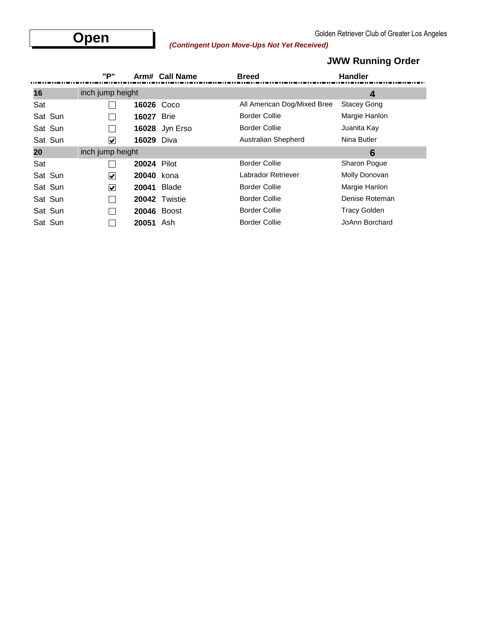# Golden Retriever Club of Greater Los Angeles<br> *(Contingent Upon Move-Ups Not Yet Received)*

|         | "P"                   |                    | Arm# Call Name     | <b>Breed</b>                | <b>Handler</b>      |  |
|---------|-----------------------|--------------------|--------------------|-----------------------------|---------------------|--|
| 16      | inch jump height      |                    |                    |                             | 4                   |  |
| Sat     |                       |                    | 16026 Coco         | All American Dog/Mixed Bree | <b>Stacey Gong</b>  |  |
| Sat Sun |                       | 16027              | <b>Brie</b>        | <b>Border Collie</b>        | Margie Hanlon       |  |
| Sat Sun |                       |                    | 16028 Jyn Erso     | <b>Border Collie</b>        | Juanita Kay         |  |
| Sat Sun | $\blacktriangledown$  | <b>16029 Diva</b>  |                    | Australian Shepherd         | Nina Butler         |  |
| 20      | inch jump height      |                    |                    |                             | 6                   |  |
| Sat     |                       | <b>20024 Pilot</b> |                    | <b>Border Collie</b>        | Sharon Pogue        |  |
| Sat Sun | $\blacktriangleright$ | 20040 kona         |                    | Labrador Retriever          | Molly Donovan       |  |
| Sat Sun | $\blacktriangleright$ |                    | <b>20041 Blade</b> | <b>Border Collie</b>        | Margie Hanlon       |  |
| Sat Sun |                       |                    | 20042 Twistie      | <b>Border Collie</b>        | Denise Roteman      |  |
| Sat Sun |                       |                    | 20046 Boost        | <b>Border Collie</b>        | <b>Tracy Golden</b> |  |
| Sat Sun |                       | 20051 Ash          |                    | <b>Border Collie</b>        | JoAnn Borchard      |  |

### **JWW Running Order**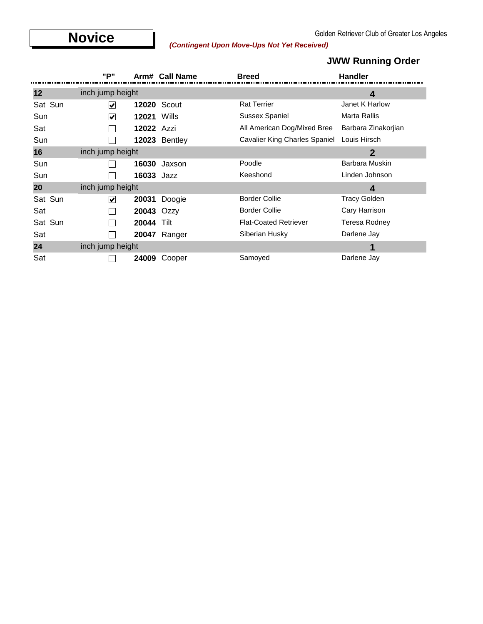# **Novice** (*Contingent Upon Move-Ups Not Yet Received*) Contingent (*Contingent Upon Move-Ups Not Yet Received*)

### **JWW Running Order**

|         | "P"                  |                    | Arm# Call Name      | <b>Breed</b>                         | <b>Handler</b>      |
|---------|----------------------|--------------------|---------------------|--------------------------------------|---------------------|
| 12      | inch jump height     |                    |                     |                                      | 4                   |
| Sat Sun | V                    |                    | <b>12020 Scout</b>  | <b>Rat Terrier</b>                   | Janet K Harlow      |
| Sun     | ⊻                    | <b>12021 Wills</b> |                     | <b>Sussex Spaniel</b>                | Marta Rallis        |
| Sat     |                      | 12022 Azzi         |                     | All American Dog/Mixed Bree          | Barbara Zinakorjian |
| Sun     |                      |                    | 12023 Bentley       | <b>Cavalier King Charles Spaniel</b> | Louis Hirsch        |
| 16      | inch jump height     |                    |                     |                                      | $\overline{2}$      |
| Sun     |                      | 16030              | Jaxson              | Poodle                               | Barbara Muskin      |
| Sun     |                      | 16033 Jazz         |                     | Keeshond                             | Linden Johnson      |
| 20      | inch jump height     |                    |                     |                                      | 4                   |
| Sat Sun | $\blacktriangledown$ | 20031              | Doogie              | <b>Border Collie</b>                 | <b>Tracy Golden</b> |
| Sat     |                      | 20043 Ozzy         |                     | <b>Border Collie</b>                 | Cary Harrison       |
| Sat Sun |                      | 20044              | Tilt                | <b>Flat-Coated Retriever</b>         | Teresa Rodney       |
| Sat     |                      |                    | <b>20047</b> Ranger | Siberian Husky                       | Darlene Jay         |
| 24      | inch jump height     |                    |                     |                                      | 1                   |
| Sat     |                      | 24009              | Cooper              | Samoyed                              | Darlene Jay         |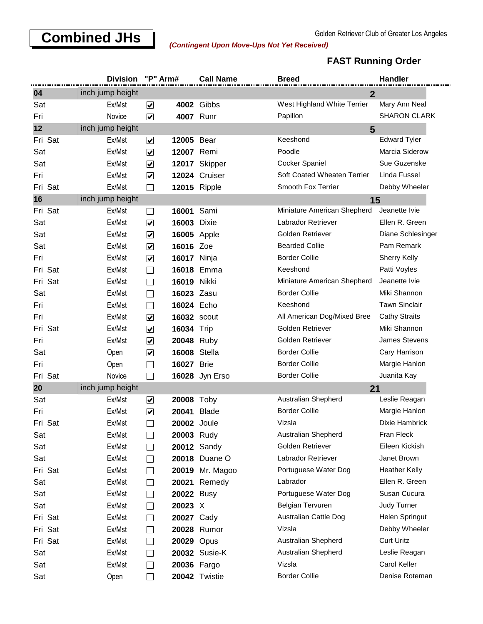### **Combined JHs**<br>Contingent Upon Move-Ups Not Vet Received)

#### *(Contingent Upon Move-Ups Not Yet Received)*

#### **FAST Running Order**

|         | <b>Division</b>  | "P" Arm#                               | <b>Call Name</b>    | <b>Breed</b>                | Handler              |
|---------|------------------|----------------------------------------|---------------------|-----------------------------|----------------------|
| 04      | inch jump height |                                        |                     | $\overline{2}$              |                      |
| Sat     | Ex/Mst           | $\blacktriangledown$                   | <b>4002 Gibbs</b>   | West Highland White Terrier | Mary Ann Neal        |
| Fri     | Novice           | $\blacktriangledown$                   | 4007 Runr           | Papillon                    | <b>SHARON CLARK</b>  |
| 12      | inch jump height |                                        |                     | 5                           |                      |
| Fri Sat | Ex/Mst           | $\blacktriangledown$                   | 12005 Bear          | Keeshond                    | <b>Edward Tyler</b>  |
| Sat     | Ex/Mst           | $\overline{\mathbf{v}}$                | 12007 Remi          | Poodle                      | Marcia Siderow       |
| Sat     | Ex/Mst           | $\overline{\mathbf{v}}$                | 12017 Skipper       | Cocker Spaniel              | Sue Guzenske         |
| Fri     | Ex/Mst           | $\overline{\mathbf{v}}$                | 12024 Cruiser       | Soft Coated Wheaten Terrier | Linda Fussel         |
| Fri Sat | Ex/Mst           | $\blacksquare$                         | <b>12015 Ripple</b> | Smooth Fox Terrier          | Debby Wheeler        |
| 16      | inch jump height |                                        |                     | 15                          |                      |
| Fri Sat | Ex/Mst           | $\blacksquare$                         | 16001 Sami          | Miniature American Shepherd | Jeanette Ivie        |
| Sat     | Ex/Mst           | $\blacktriangledown$                   | <b>16003 Dixie</b>  | Labrador Retriever          | Ellen R. Green       |
| Sat     | Ex/Mst           | $\blacktriangledown$                   | <b>16005</b> Apple  | Golden Retriever            | Diane Schlesinger    |
| Sat     | Ex/Mst           | $\blacktriangledown$<br>16016 Zoe      |                     | <b>Bearded Collie</b>       | Pam Remark           |
| Fri     | Ex/Mst           | $\blacktriangledown$                   | <b>16017</b> Ninja  | <b>Border Collie</b>        | <b>Sherry Kelly</b>  |
| Fri Sat | Ex/Mst           | $\mathcal{L}_{\mathcal{A}}$            | 16018 Emma          | Keeshond                    | Patti Voyles         |
| Fri Sat | Ex/Mst           | $\overline{\phantom{0}}$               | 16019 Nikki         | Miniature American Shepherd | Jeanette Ivie        |
| Sat     | Ex/Mst           | $\Box$                                 | 16023 Zasu          | <b>Border Collie</b>        | Miki Shannon         |
| Fri     | Ex/Mst           | $\blacksquare$                         | 16024 Echo          | Keeshond                    | <b>Tawn Sinclair</b> |
| Fri     | Ex/Mst           | $\blacktriangledown$                   | <b>16032 scout</b>  | All American Dog/Mixed Bree | <b>Cathy Straits</b> |
| Fri Sat | Ex/Mst           | $\blacktriangledown$<br>16034 Trip     |                     | Golden Retriever            | Miki Shannon         |
| Fri     | Ex/Mst           | $\overline{\mathbf{v}}$                | 20048 Ruby          | Golden Retriever            | James Stevens        |
| Sat     | Open             | $\blacktriangledown$                   | <b>16008 Stella</b> | <b>Border Collie</b>        | Cary Harrison        |
| Fri     | Open             | 16027 Brie<br>$\overline{\phantom{0}}$ |                     | <b>Border Collie</b>        | Margie Hanlon        |
| Fri Sat | Novice           | $\blacksquare$                         | 16028 Jyn Erso      | <b>Border Collie</b>        | Juanita Kay          |
| 20      | inch jump height |                                        |                     | 21                          |                      |
| Sat     | Ex/Mst           | ☑                                      | 20008 Toby          | Australian Shepherd         | Leslie Reagan        |
| Fri     | Ex/Mst           | $\blacktriangleright$<br>20041         | <b>Blade</b>        | <b>Border Collie</b>        | Margie Hanlon        |
| Fri Sat | Ex/Mst           |                                        | 20002 Joule         | Vizsla                      | Dixie Hambrick       |
| Sat     | Ex/Mst           | $\blacksquare$                         | 20003 Rudy          | Australian Shepherd         | Fran Fleck           |
| Sat     | Ex/Mst           | $\blacksquare$                         | 20012 Sandy         | Golden Retriever            | Eileen Kickish       |
| Sat     | Ex/Mst           | $\perp$                                | 20018 Duane O       | Labrador Retriever          | Janet Brown          |
| Fri Sat | Ex/Mst           | $\Box$                                 | 20019 Mr. Magoo     | Portuguese Water Dog        | <b>Heather Kelly</b> |
| Sat     | Ex/Mst           | $\Box$                                 | 20021 Remedy        | Labrador                    | Ellen R. Green       |
| Sat     | Ex/Mst           | $\Box$                                 | 20022 Busy          | Portuguese Water Dog        | Susan Cucura         |
| Sat     | Ex/Mst           | 20023 X<br>$\Box$                      |                     | Belgian Tervuren            | Judy Turner          |
| Fri Sat | Ex/Mst           | $\Box$                                 | 20027 Cady          | Australian Cattle Dog       | Helen Springut       |
| Fri Sat | Ex/Mst           | ப                                      | 20028 Rumor         | Vizsla                      | Debby Wheeler        |
| Fri Sat | Ex/Mst           | $\Box$                                 | 20029 Opus          | Australian Shepherd         | <b>Curt Uritz</b>    |
| Sat     | Ex/Mst           | $\Box$                                 | 20032 Susie-K       | Australian Shepherd         | Leslie Reagan        |
| Sat     | Ex/Mst           | $\blacksquare$                         | 20036 Fargo         | Vizsla                      | Carol Keller         |
| Sat     | Open             |                                        | 20042 Twistie       | <b>Border Collie</b>        | Denise Roteman       |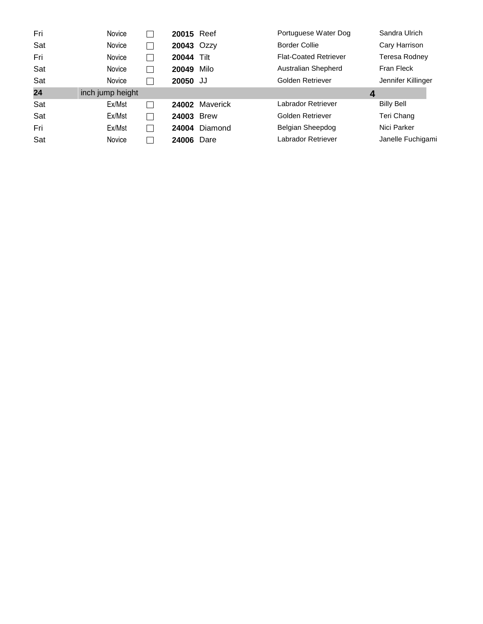| Fri | Novice           | 20015 Reef |             | Portuguese Water Dog         | Sandra Ulrich      |
|-----|------------------|------------|-------------|------------------------------|--------------------|
| Sat | Novice           | 20043 Ozzy |             | <b>Border Collie</b>         | Cary Harrison      |
| Fri | Novice           | 20044      | Tilt        | <b>Flat-Coated Retriever</b> | Teresa Rodnev      |
| Sat | Novice           | 20049      | Milo        | Australian Shepherd          | Fran Fleck         |
| Sat | Novice           | 20050 JJ   |             | Golden Retriever             | Jennifer Killinger |
| 24  | inch jump height |            |             | $\boldsymbol{4}$             |                    |
| Sat | Ex/Mst           | 24002      | Maverick    | Labrador Retriever           | <b>Billy Bell</b>  |
| Sat | Ex/Mst           | 24003      | <b>Brew</b> | Golden Retriever             | Teri Chang         |
|     |                  |            |             |                              |                    |
| Fri | Ex/Mst           | 24004      | Diamond     | Belgian Sheepdog             | Nici Parker        |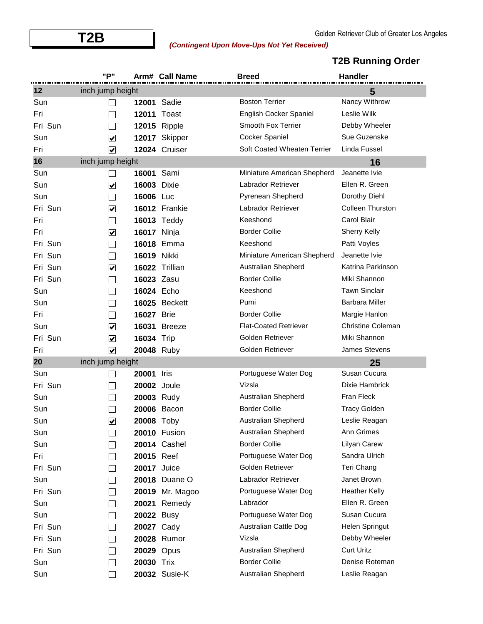# **T2B** Golden Retriever Club of Greater Los Angeles *(Contingent Upon Move-Ups Not Yet Received)*

|         | "P"                     |                    | Arm# Call Name      | <b>Breed</b>                 | <b>Handler</b>           |
|---------|-------------------------|--------------------|---------------------|------------------------------|--------------------------|
| 12      | inch jump height        |                    |                     |                              | 5                        |
| Sun     |                         | 12001              | Sadie               | <b>Boston Terrier</b>        | Nancy Withrow            |
| Fri     |                         |                    | <b>12011 Toast</b>  | English Cocker Spaniel       | Leslie Wilk              |
| Fri Sun |                         |                    | <b>12015 Ripple</b> | Smooth Fox Terrier           | Debby Wheeler            |
| Sun     | $\blacktriangledown$    | 12017              | Skipper             | <b>Cocker Spaniel</b>        | Sue Guzenske             |
| Fri     | $\blacktriangledown$    |                    | 12024 Cruiser       | Soft Coated Wheaten Terrier  | Linda Fussel             |
| 16      | inch jump height        |                    |                     |                              | 16                       |
| Sun     |                         | 16001              | Sami                | Miniature American Shepherd  | Jeanette Ivie            |
| Sun     | $\blacktriangledown$    | <b>16003 Dixie</b> |                     | Labrador Retriever           | Ellen R. Green           |
| Sun     | $\sim$                  | 16006 Luc          |                     | Pyrenean Shepherd            | Dorothy Diehl            |
| Fri Sun | $\blacktriangledown$    |                    | 16012 Frankie       | Labrador Retriever           | <b>Colleen Thurston</b>  |
| Fri     |                         |                    | <b>16013 Teddy</b>  | Keeshond                     | Carol Blair              |
| Fri     | $\blacktriangledown$    | <b>16017</b> Ninja |                     | <b>Border Collie</b>         | <b>Sherry Kelly</b>      |
| Fri Sun |                         |                    | 16018 Emma          | Keeshond                     | Patti Voyles             |
| Fri Sun |                         | 16019 Nikki        |                     | Miniature American Shepherd  | Jeanette Ivie            |
| Fri Sun | $\blacktriangledown$    |                    | 16022 Trillian      | Australian Shepherd          | Katrina Parkinson        |
| Fri Sun | $\sim$                  | 16023 Zasu         |                     | <b>Border Collie</b>         | Miki Shannon             |
| Sun     |                         | 16024 Echo         |                     | Keeshond                     | <b>Tawn Sinclair</b>     |
| Sun     |                         | 16025              | <b>Beckett</b>      | Pumi                         | Barbara Miller           |
| Fri     |                         | 16027              | <b>Brie</b>         | <b>Border Collie</b>         | Margie Hanlon            |
| Sun     | $\blacktriangledown$    | 16031              | <b>Breeze</b>       | <b>Flat-Coated Retriever</b> | <b>Christine Coleman</b> |
| Fri Sun | $\blacktriangledown$    | 16034              | Trip                | Golden Retriever             | Miki Shannon             |
| Fri     | $\blacktriangledown$    | 20048 Ruby         |                     | Golden Retriever             | James Stevens            |
| 20      | inch jump height        |                    |                     |                              | 25                       |
| Sun     |                         | 20001              | Iris                | Portuguese Water Dog         | Susan Cucura             |
| Fri Sun |                         | <b>20002</b> Joule |                     | Vizsla                       | Dixie Hambrick           |
| Sun     |                         | 20003 Rudy         |                     | Australian Shepherd          | Fran Fleck               |
| Sun     |                         | 20006              | Bacon               | <b>Border Collie</b>         | <b>Tracy Golden</b>      |
| Sun     | $\overline{\checkmark}$ | 20008 Toby         |                     | <b>Australian Shepherd</b>   | Leslie Reagan            |
| Sun     |                         |                    | <b>20010 Fusion</b> | Australian Shepherd          | Ann Grimes               |
| Sun     |                         |                    | 20014 Cashel        | <b>Border Collie</b>         | Lilyan Carew             |
| Fri     |                         | 20015 Reef         |                     | Portuguese Water Dog         | Sandra Ulrich            |
| Fri Sun |                         | <b>20017</b> Juice |                     | Golden Retriever             | Teri Chang               |
| Sun     |                         |                    | 20018 Duane O       | Labrador Retriever           | Janet Brown              |
| Fri Sun |                         | 20019              | Mr. Magoo           | Portuguese Water Dog         | <b>Heather Kelly</b>     |
| Sun     |                         | 20021              | Remedy              | Labrador                     | Ellen R. Green           |
| Sun     |                         | 20022 Busy         |                     | Portuguese Water Dog         | Susan Cucura             |
| Fri Sun |                         | 20027 Cady         |                     | Australian Cattle Dog        | Helen Springut           |
| Fri Sun |                         |                    | 20028 Rumor         | Vizsla                       | Debby Wheeler            |
| Fri Sun |                         | 20029 Opus         |                     | Australian Shepherd          | <b>Curt Uritz</b>        |
| Sun     |                         | 20030 Trix         |                     | <b>Border Collie</b>         | Denise Roteman           |
| Sun     |                         |                    | 20032 Susie-K       | Australian Shepherd          | Leslie Reagan            |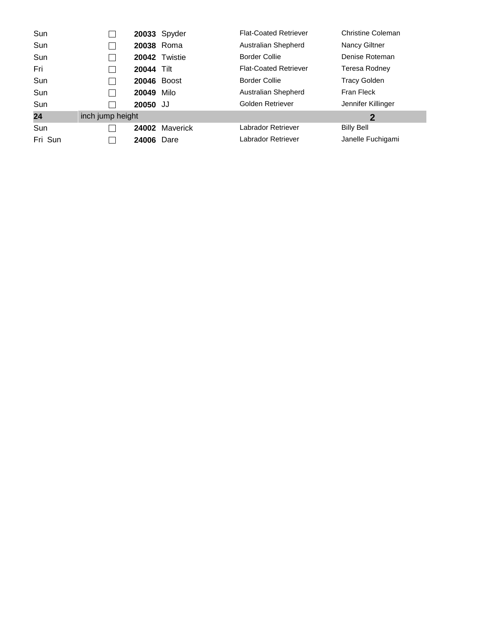| Sun     |                                    |                    | 20033 Spyder   | <b>Flat-Coated Retriever</b> | <b>Christine Coleman</b> |
|---------|------------------------------------|--------------------|----------------|------------------------------|--------------------------|
| Sun     |                                    | 20038 Roma         |                | Australian Shepherd          | Nancy Giltner            |
| Sun     |                                    |                    | 20042 Twistie  | <b>Border Collie</b>         | Denise Roteman           |
| Fri     |                                    | <b>20044 Tilt</b>  |                | <b>Flat-Coated Retriever</b> | Teresa Rodney            |
| Sun     |                                    | <b>20046 Boost</b> |                | <b>Border Collie</b>         | <b>Tracy Golden</b>      |
| Sun     |                                    | 20049              | Milo           | Australian Shepherd          | Fran Fleck               |
| Sun     |                                    | 20050 JJ           |                | Golden Retriever             | Jennifer Killinger       |
| 24      | inch jump height<br>$\overline{2}$ |                    |                |                              |                          |
| Sun     |                                    |                    | 24002 Maverick | Labrador Retriever           | <b>Billy Bell</b>        |
| Fri Sun |                                    | 24006              | Dare           | Labrador Retriever           | Janelle Fuchigami        |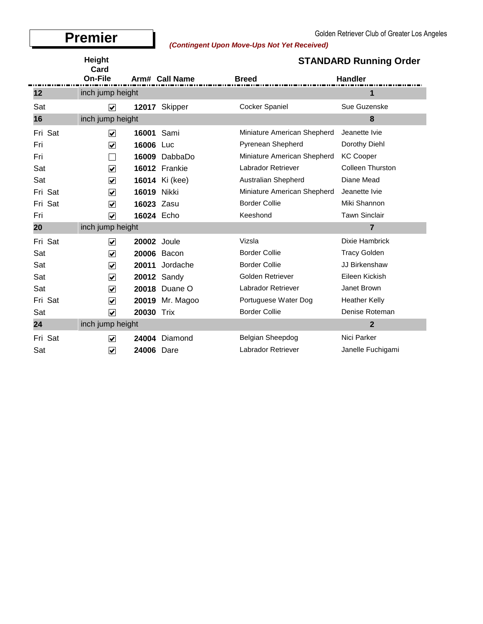$\blacksquare$ 

# Golden Retriever Club of Greater Los Angeles<br>Contingent Upon Move-Ups Not Yet Received)

|         | Height<br>Card          |                                    |                    | <b>STANDARD Running Order</b> |                         |  |
|---------|-------------------------|------------------------------------|--------------------|-------------------------------|-------------------------|--|
|         | On-File                 |                                    | Arm# Call Name     | <b>Breed</b>                  | <b>Handler</b>          |  |
| 12      | inch jump height        |                                    |                    |                               | 1                       |  |
| Sat     | $\blacktriangledown$    |                                    | 12017 Skipper      | <b>Cocker Spaniel</b>         | Sue Guzenske            |  |
| 16      | inch jump height        |                                    |                    |                               | 8                       |  |
| Fri Sat | $\blacktriangledown$    | 16001                              | Sami               | Miniature American Shepherd   | Jeanette Ivie           |  |
| Fri     | $\blacktriangledown$    | 16006                              | Luc                | Pyrenean Shepherd             | Dorothy Diehl           |  |
| Fri     |                         |                                    | 16009 DabbaDo      | Miniature American Shepherd   | <b>KC Cooper</b>        |  |
| Sat     | $\overline{\mathbf{v}}$ |                                    | 16012 Frankie      | <b>Labrador Retriever</b>     | <b>Colleen Thurston</b> |  |
| Sat     | $\blacktriangledown$    |                                    | 16014 Ki (kee)     | Australian Shepherd           | Diane Mead              |  |
| Fri Sat | $\blacktriangledown$    | 16019 Nikki                        |                    | Miniature American Shepherd   | Jeanette Ivie           |  |
| Fri Sat | $\blacktriangledown$    | 16023 Zasu                         |                    | <b>Border Collie</b>          | Miki Shannon            |  |
| Fri     | $\blacktriangledown$    | 16024 Echo                         |                    | Keeshond                      | <b>Tawn Sinclair</b>    |  |
| 20      |                         | inch jump height<br>$\overline{7}$ |                    |                               |                         |  |
| Fri Sat | $\blacktriangledown$    | <b>20002</b> Joule                 |                    | Vizsla                        | Dixie Hambrick          |  |
| Sat     | $\blacktriangledown$    |                                    | 20006 Bacon        | <b>Border Collie</b>          | <b>Tracy Golden</b>     |  |
| Sat     | $\blacktriangledown$    | 20011                              | Jordache           | <b>Border Collie</b>          | JJ Birkenshaw           |  |
| Sat     | $\blacktriangledown$    |                                    | <b>20012 Sandy</b> | Golden Retriever              | Eileen Kickish          |  |
| Sat     | $\blacktriangledown$    |                                    | 20018 Duane O      | Labrador Retriever            | Janet Brown             |  |
| Fri Sat | $\blacklozenge$         |                                    | 20019 Mr. Magoo    | Portuguese Water Dog          | <b>Heather Kelly</b>    |  |
| Sat     | $\blacktriangledown$    | 20030 Trix                         |                    | <b>Border Collie</b>          | Denise Roteman          |  |
| 24      | inch jump height        |                                    |                    |                               | $\overline{2}$          |  |
| Fri Sat | $\overline{\mathbf{v}}$ |                                    | 24004 Diamond      | Belgian Sheepdog              | Nici Parker             |  |
| Sat     | $\overline{\mathbf{v}}$ | 24006 Dare                         |                    | Labrador Retriever            | Janelle Fuchigami       |  |